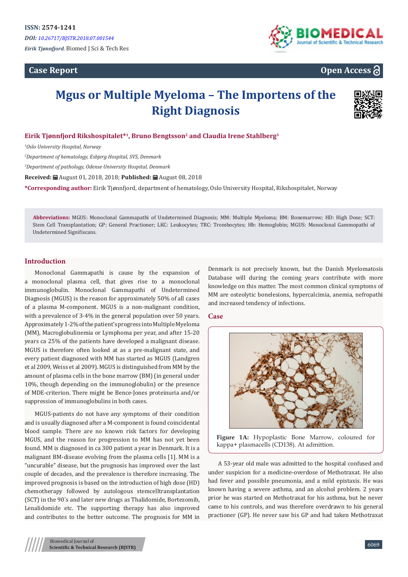**Case Report**



## **Open Access**

# **Mgus or Multiple Myeloma – The Importens of the Right Diagnosis**



## **Eirik Tjønnfjord Rikshospitalet\*1, Bruno Bengtsson<sup>2</sup> and Claudia Irene Stahlberg<sup>3</sup>**

*1 Oslo University Hospital, Norway*

*2 Department of hematology, Esbjerg Hospital, SVS, Denmark*

*3 Department of pathology, Odense University Hospital, Denmark* 

**Received:** August 01, 2018, 2018; **Published:** August 08, 2018

**\*Corresponding author:** Eirik Tjønnfjord, department of hematology, Oslo University Hospital, Rikshospitalet, Norway

**Abbreviations:** MGUS: Monoclonal Gammapathi of Undetermined Diagnosis; MM: Multiple Myeloma; BM: Bonemarrow; HD: High Dose; SCT: Stem Cell Transplantation; GP: General Practioner; LKC: Leukocytes; TRC: Trombocytes; Hb: Hemoglobin; MGUS: Monoclonal Gammopathi of Undetermined Signifiscans.

#### **Introduction**

Monoclonal Gammapathi is cause by the expansion of a monoclonal plasma cell, that gives rise to a monoclonal immunoglobulin. Monoclonal Gammapathi of Undetermined Diagnosis (MGUS) is the reason for approximately 50% of all cases of a plasma M-component. MGUS is a non-malignant condition, with a prevalence of 3-4% in the general population over 50 years. Approximately 1-2% of the patient's progress into Multiple Myeloma (MM), Macroglobulinemia or Lymphoma per year, and after 15-20 years ca 25% of the patients have developed a malignant disease. MGUS is therefore often looked at as a pre-malignant state, and every patient diagnosed with MM has started as MGUS (Landgren et al 2009, Weiss et al 2009). MGUS is distinguished from MM by the amount of plasma cells in the bone marrow (BM) (in general under 10%, though depending on the immunoglobulin) or the presence of MDE-criterion. There might be Bence-Jones proteinuria and/or suppression of immunoglobulins in both cases.

MGUS-patients do not have any symptoms of their condition and is usually diagnosed after a M-component is found coincidental blood sample. There are no known risk factors for developing MGUS, and the reason for progression to MM has not yet been found. MM is diagnosed in ca 300 patient a year in Denmark. It is a malignant BM-disease evolving from the plasma cells [1]. MM is a "uncurable" disease, but the prognosis has improved over the last couple of decades, and the prevalence is therefore increasing. The improved prognosis is based on the introduction of high dose (HD) chemotherapy followed by autologous stemcelltransplantation (SCT) in the 90´s and later new drugs as Thalidomide, Bortezomib, Lenalidomide etc. The supporting therapy has also improved and contributes to the better outcome. The prognosis for MM in

Denmark is not precisely known, but the Danish Myelomatosis Database will during the coming years contribute with more knowledge on this matter. The most common clinical symptoms of MM are osteolytic bonelesions, hypercalcimia, anemia, nefropathi and increased tendency of infections.

#### **Case**



**Figure 1A:** Hypoplastic Bone Marrow, coloured for kappa+ plasmacells (CD138). At admittion.

A 53-year old male was admitted to the hospital confused and under suspicion for a medicine-overdose of Methotraxat. He also had fever and possible pneumonia, and a mild epistaxis. He was known having a severe asthma, and an alcohol problem. 2 years prior he was started on Methotraxat for his asthma, but he never came to his controls, and was therefore overdrawn to his general practioner (GP). He never saw his GP and had taken Methotraxat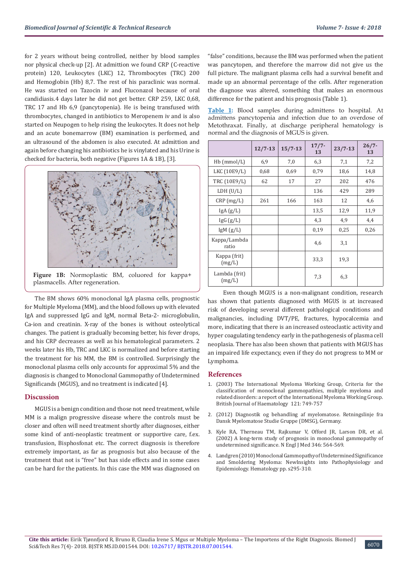for 2 years without being controlled, neither by blood samples nor physical check-up [2]. At admittion we found CRP (C-reactive protein) 120, Leukocytes (LKC) 12, Thrombocytes (TRC) 200 and Hemoglobin (Hb) 8,7. The rest of his paraclinic was normal. He was started on Tazocin iv and Fluconazol because of oral candidiasis.4 days later he did not get better. CRP 259, LKC 0,68, TRC 17 and Hb 6,9 (pancytopenia). He is being transfused with thrombocytes, changed in antibiotics to Meropenem iv and is also started on Neupogen to help rising the leukocytes. It does not help and an acute bonemarrow (BM) examination is performed, and an ultrasound of the abdomen is also executed. At admittion and again before changing his antibiotics he is vinylated and his Urine is checked for bacteria, both negative (Figures 1A & 1B), [3].



**Figure 1B:** Normoplastic BM, coluored for kappa+ plasmacells. After regeneration.

The BM shows 60% monoclonal IgA plasma cells, prognostic for Multiple Myeloma (MM), and the blood follows up with elevated IgA and suppressed IgG and IgM, normal Beta-2- microglobulin, Ca-ion and creatinin. X-ray of the bones is without osteolytical changes. The patient is gradually becoming better, his fever drops, and his CRP decreases as well as his hematological parameters. 2 weeks later his Hb, TRC and LKC is normalized and before starting the treatment for his MM, the BM is controlled. Surprisingly the monoclonal plasma cells only accounts for approximal 5% and the diagnosis is changed to Monoclonal Gammopathy of Undetermined Significands (MGUS), and no treatment is indicated [4].

#### **Discussion**

MGUS is a benign condition and those not need treatment, while MM is a malign progressive disease where the controls must be closer and often will need treatment shortly after diagnoses, either some kind of anti-neoplastic treatment or supportive care, f.ex. transfusion, Bisphosfonat etc. The correct diagnosis is therefore extremely important, as far as prognosis but also because of the treatment that not is "free" but has side effects and in some cases can be hard for the patients. In this case the MM was diagnosed on

"false" conditions, because the BM was performed when the patient was pancytopen, and therefore the marrow did not give us the full picture. The malignant plasma cells had a survival benefit and made up an abnormal percentage of the cells. After regeneration the diagnose was altered, something that makes an enormous difference for the patient and his prognosis (Table 1).

**Table 1:** Blood samples during admittens to hospital. At admittens pancytopenia and infection due to an overdose of Metothraxat. Finally, at discharge peripheral hematology is normal and the diagnosis of MGUS is given.

|                         | $12/7 - 13$ | $15/7 - 13$ | $17/7 -$<br>13 | $23/7 - 13$ | $26/7 -$<br>13 |
|-------------------------|-------------|-------------|----------------|-------------|----------------|
| $Hb$ (mmol/L)           | 6,9         | 7,0         | 6,3            | 7,1         | 7,2            |
| LKC (10E9/L)            | 0,68        | 0,69        | 0,79           | 18,6        | 14,8           |
| TRC (10E9/L)            | 62          | 17          | 27             | 202         | 476            |
| LDH (U/L)               |             |             | 136            | 429         | 289            |
| $CRP$ (mg/L)            | 261         | 166         | 163            | 12          | 4,6            |
| IgA(g/L)                |             |             | 13,5           | 12,9        | 11,9           |
| lgG(g/L)                |             |             | 4,3            | 4,9         | 4,4            |
| lgM(g/L)                |             |             | 0,19           | 0,25        | 0,26           |
| Kappa/Lambda<br>ratio   |             |             | 4,6            | 3,1         |                |
| Kappa (frit)<br>(mg/L)  |             |             | 33,3           | 19,3        |                |
| Lambda (frit)<br>(mg/L) |             |             | 7,3            | 6,3         |                |

 Even though MGUS is a non-malignant condition, research has shown that patients diagnosed with MGUS is at increased risk of developing several different pathological conditions and malignancies, including DVT/PE, fractures, hypocalcemia and more, indicating that there is an increased osteoclastic activity and hyper coagulating tendency early in the pathogenesis of plasma cell neoplasia. There has also been shown that patients with MGUS has an impaired life expectancy, even if they do not progress to MM or Lymphoma.

#### **References**

- 1. [\(2003\) The International Myeloma Working Group, Criteria for the](https://www.ncbi.nlm.nih.gov/pubmed/12780789) [classification of monoclonal gammopathies, multiple myeloma and](https://www.ncbi.nlm.nih.gov/pubmed/12780789) [related disorders: a report of the International Myeloma Working Group.](https://www.ncbi.nlm.nih.gov/pubmed/12780789) [British Journal of Haematology 121: 749-757](https://www.ncbi.nlm.nih.gov/pubmed/12780789)
- 2. [\(2012\) Diagnostik og behandling af myelomatose. Retningslinje fra](https://www.hematology.dk/index.php/vejledninger/kliniske/myelomatose/356-myelomatose-2017/file) [Dansk Myelomatose Studie Gruppe \(DMSG\), Germany.](https://www.hematology.dk/index.php/vejledninger/kliniske/myelomatose/356-myelomatose-2017/file)
- 3. [Kyle RA, Therneau TM, Rajkumar V, Offord JR, Larson DR, et al.](https://www.ncbi.nlm.nih.gov/pubmed/11856795) [\(2002\) A long-term study of prognosis in monoclonal gammopathy of](https://www.ncbi.nlm.nih.gov/pubmed/11856795) [undetermined significance. N Engl J Med 346: 564-569.](https://www.ncbi.nlm.nih.gov/pubmed/11856795)
- 4. [Landgren \(2010\) Monoclonal Gammopathy of Undetermined Significance](https://www.ncbi.nlm.nih.gov/pubmed/21239809) [and Smoldering Myeloma: NewInsights into Pathophysiology and](https://www.ncbi.nlm.nih.gov/pubmed/21239809) [Epidemiology. Hematology pp. s295-310](https://www.ncbi.nlm.nih.gov/pubmed/21239809).